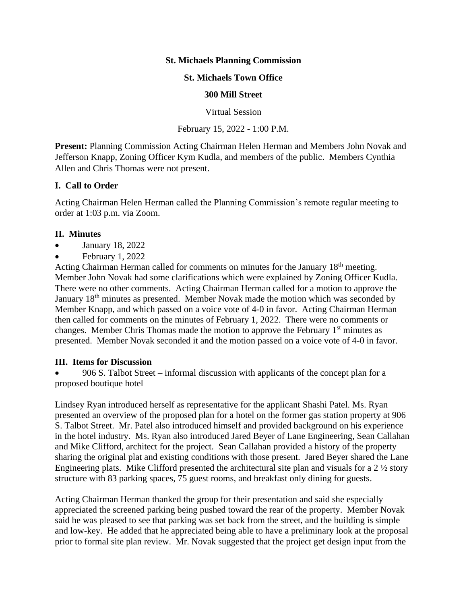## **St. Michaels Planning Commission**

### **St. Michaels Town Office**

#### **300 Mill Street**

Virtual Session

February 15, 2022 - 1:00 P.M.

**Present:** Planning Commission Acting Chairman Helen Herman and Members John Novak and Jefferson Knapp, Zoning Officer Kym Kudla, and members of the public. Members Cynthia Allen and Chris Thomas were not present.

### **I. Call to Order**

Acting Chairman Helen Herman called the Planning Commission's remote regular meeting to order at 1:03 p.m. via Zoom.

### **II. Minutes**

- January 18, 2022
- February 1, 2022

Acting Chairman Herman called for comments on minutes for the January 18<sup>th</sup> meeting. Member John Novak had some clarifications which were explained by Zoning Officer Kudla. There were no other comments. Acting Chairman Herman called for a motion to approve the January 18th minutes as presented. Member Novak made the motion which was seconded by Member Knapp, and which passed on a voice vote of 4-0 in favor. Acting Chairman Herman then called for comments on the minutes of February 1, 2022. There were no comments or changes. Member Chris Thomas made the motion to approve the February  $1<sup>st</sup>$  minutes as presented. Member Novak seconded it and the motion passed on a voice vote of 4-0 in favor.

## **III. Items for Discussion**

• 906 S. Talbot Street – informal discussion with applicants of the concept plan for a proposed boutique hotel

Lindsey Ryan introduced herself as representative for the applicant Shashi Patel. Ms. Ryan presented an overview of the proposed plan for a hotel on the former gas station property at 906 S. Talbot Street. Mr. Patel also introduced himself and provided background on his experience in the hotel industry. Ms. Ryan also introduced Jared Beyer of Lane Engineering, Sean Callahan and Mike Clifford, architect for the project. Sean Callahan provided a history of the property sharing the original plat and existing conditions with those present. Jared Beyer shared the Lane Engineering plats. Mike Clifford presented the architectural site plan and visuals for a 2 ½ story structure with 83 parking spaces, 75 guest rooms, and breakfast only dining for guests.

Acting Chairman Herman thanked the group for their presentation and said she especially appreciated the screened parking being pushed toward the rear of the property. Member Novak said he was pleased to see that parking was set back from the street, and the building is simple and low-key. He added that he appreciated being able to have a preliminary look at the proposal prior to formal site plan review. Mr. Novak suggested that the project get design input from the